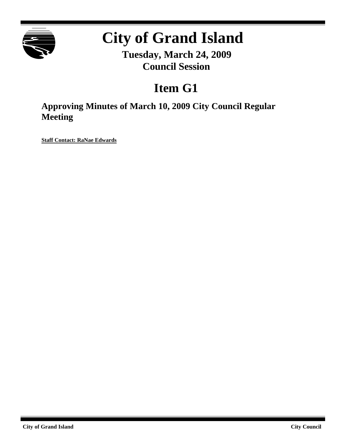

# **City of Grand Island**

**Tuesday, March 24, 2009 Council Session**

# **Item G1**

**Approving Minutes of March 10, 2009 City Council Regular Meeting**

**Staff Contact: RaNae Edwards**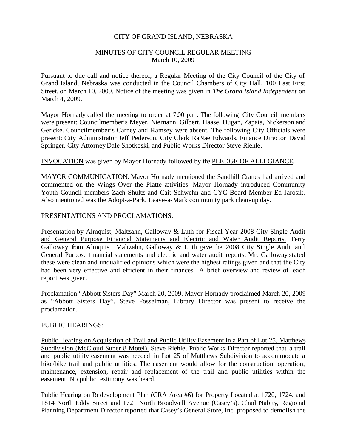# CITY OF GRAND ISLAND, NEBRASKA

# MINUTES OF CITY COUNCIL REGULAR MEETING March 10, 2009

Pursuant to due call and notice thereof, a Regular Meeting of the City Council of the City of Grand Island, Nebraska was conducted in the Council Chambers of City Hall, 100 East First Street, on March 10, 2009. Notice of the meeting was given in *The Grand Island Independent* on March 4, 2009.

Mayor Hornady called the meeting to order at 7:00 p.m. The following City Council members were present: Councilmember's Meyer, Niemann, Gilbert, Haase, Dugan, Zapata, Nickerson and Gericke. Councilmember's Carney and Ramsey were absent. The following City Officials were present: City Administrator Jeff Pederson, City Clerk RaNae Edwards, Finance Director David Springer, City AttorneyDale Shotkoski, and Public Works Director Steve Riehle.

# INVOCATION was given by Mayor Hornady followed by the PLEDGE OF ALLEGIANCE.

MAYOR COMMUNICATION: Mayor Hornady mentioned the Sandhill Cranes had arrived and commented on the Wings Over the Platte activities. Mayor Hornady introduced Community Youth Council members Zach Shultz and Cait Schwehn and CYC Board Member Ed Jarosik. Also mentioned was the Adopt-a-Park, Leave-a-Mark community park clean-up day.

#### PRESENTATIONS AND PROCLAMATIONS:

Presentation by Almquist, Maltzahn, Galloway & Luth for Fiscal Year 2008 City Single Audit and General Purpose Financial Statements and Electric and Water Audit Reports. Terry Galloway from Almquist, Maltzahn, Galloway & Luth gave the 2008 City Single Audit and General Purpose financial statements and electric and water audit reports. Mr. Galloway stated these were clean and unqualified opinions which were the highest ratings given and that the City had been very effective and efficient in their finances. A brief overview and review of each report was given.

Proclamation "Abbott Sisters Day" March 20, 2009. Mayor Hornady proclaimed March 20, 2009 as "Abbott Sisters Day". Steve Fosselman, Library Director was present to receive the proclamation.

#### PUBLIC HEARINGS:

Public Hearing on Acquisition of Trail and Public Utility Easement in a Part of Lot 25, Matthews Subdivision (McCloud Super 8 Motel). Steve Riehle , Public Works Director reported that a trail and public utility easement was needed in Lot 25 of Matthews Subdivision to accommodate a hike/bike trail and public utilities. The easement would allow for the construction, operation, maintenance, extension, repair and replacement of the trail and public utilities within the easement. No public testimony was heard.

Public Hearing on Redevelopment Plan (CRA Area #6) for Property Located at 1720, 1724, and 1814 North Eddy Street and 1721 North Broadwell Avenue (Casey's). Chad Nabity, Regional Planning Department Director reported that Casey's General Store, Inc. proposed to demolish the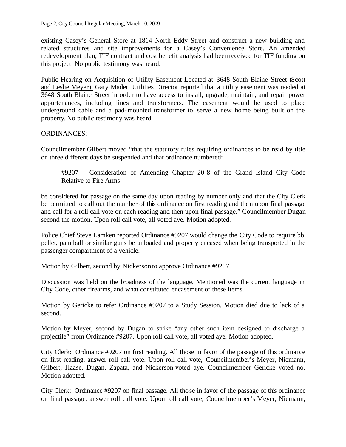existing Casey's General Store at 1814 North Eddy Street and construct a new building and related structures and site improvements for a Casey's Convenience Store. An amended redevelopment plan, TIF contract and cost benefit analysis had been received for TIF funding on this project. No public testimony was heard.

Public Hearing on Acquisition of Utility Easement Located at 3648 South Blaine Street (Scott and Leslie Meyer). Gary Mader, Utilities Director reported that a utility easement was needed at 3648 South Blaine Street in order to have access to install, upgrade, maintain, and repair power appurtenances, including lines and transformers. The easement would be used to place underground cable and a pad-mounted transformer to serve a new home being built on the property. No public testimony was heard.

# ORDINANCES:

Councilmember Gilbert moved "that the statutory rules requiring ordinances to be read by title on three different days be suspended and that ordinance numbered:

#9207 – Consideration of Amending Chapter 20-8 of the Grand Island City Code Relative to Fire Arms

be considered for passage on the same day upon reading by number only and that the City Clerk be permitted to call out the number of this ordinance on first reading and then upon final passage and call for a roll call vote on each reading and then upon final passage." Councilmember Dugan second the motion. Upon roll call vote, all voted aye. Motion adopted.

Police Chief Steve Lamken reported Ordinance #9207 would change the City Code to require bb, pellet, paintball or similar guns be unloaded and properly encased when being transported in the passenger compartment of a vehicle.

Motion by Gilbert, second by Nickerson to approve Ordinance #9207.

Discussion was held on the broadness of the language. Mentioned was the current language in City Code, other firearms, and what constituted encasement of these items.

Motion by Gericke to refer Ordinance #9207 to a Study Session. Motion died due to lack of a second.

Motion by Meyer, second by Dugan to strike "any other such item designed to discharge a projectile" from Ordinance #9207. Upon roll call vote, all voted aye. Motion adopted.

City Clerk: Ordinance #9207 on first reading. All those in favor of the passage of this ordinance on first reading, answer roll call vote. Upon roll call vote, Councilmember's Meyer, Niemann, Gilbert, Haase, Dugan, Zapata, and Nickerson voted aye. Councilmember Gericke voted no. Motion adopted.

City Clerk: Ordinance #9207 on final passage. All those in favor of the passage of this ordinance on final passage, answer roll call vote. Upon roll call vote, Councilmember's Meyer, Niemann,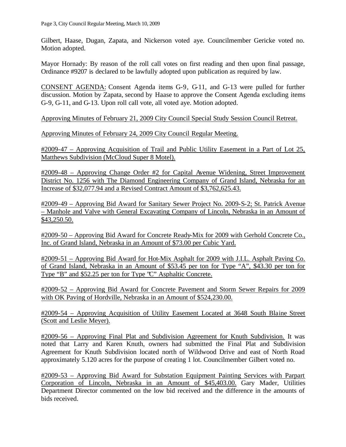Gilbert, Haase, Dugan, Zapata, and Nickerson voted aye. Councilmember Gericke voted no. Motion adopted.

Mayor Hornady: By reason of the roll call votes on first reading and then upon final passage, Ordinance #9207 is declared to be lawfully adopted upon publication as required by law.

CONSENT AGENDA: Consent Agenda items G-9, G-11, and G-13 were pulled for further discussion. Motion by Zapata, second by Haase to approve the Consent Agenda excluding items G-9, G-11, and G-13. Upon roll call vote, all voted aye. Motion adopted.

Approving Minutes of February 21, 2009 City Council Special Study Session Council Retreat.

Approving Minutes of February 24, 2009 City Council Regular Meeting.

#2009-47 – Approving Acquisition of Trail and Public Utility Easement in a Part of Lot 25, Matthews Subdivision (McCloud Super 8 Motel).

#2009-48 – Approving Change Order #2 for Capital Avenue Widening, Street Improvement District No. 1256 with The Diamond Engineering Company of Grand Island, Nebraska for an Increase of \$32,077.94 and a Revised Contract Amount of \$3,762,625.43.

#2009-49 – Approving Bid Award for Sanitary Sewer Project No. 2009-S-2; St. Patrick Avenue – Manhole and Valve with General Excavating Company of Lincoln, Nebraska in an Amount of \$43,250.50.

#2009-50 – Approving Bid Award for Concrete Ready-Mix for 2009 with Gerhold Concrete Co., Inc. of Grand Island, Nebraska in an Amount of \$73.00 per Cubic Yard.

#2009-51 – Approving Bid Award for Hot-Mix Asphalt for 2009 with J.I.L. Asphalt Paving Co. of Grand Island, Nebraska in an Amount of \$53.45 per ton for Type "A", \$43.30 per ton for Type "B" and \$52.25 per ton for Type "C" Asphaltic Concrete.

#2009-52 – Approving Bid Award for Concrete Pavement and Storm Sewer Repairs for 2009 with OK Paving of Hordville, Nebraska in an Amount of \$524,230.00.

#2009-54 – Approving Acquisition of Utility Easement Located at 3648 South Blaine Street (Scott and Leslie Meyer).

#2009-56 – Approving Final Plat and Subdivision Agreement for Knuth Subdivision. It was noted that Larry and Karen Knuth, owners had submitted the Final Plat and Subdivision Agreement for Knuth Subdivision located north of Wildwood Drive and east of North Road approximately 5.120 acres for the purpose of creating 1 lot. Councilmember Gilbert voted no.

#2009-53 – Approving Bid Award for Substation Equipment Painting Services with Parpart Corporation of Lincoln, Nebraska in an Amount of \$45,403.00. Gary Mader, Utilities Department Director commented on the low bid received and the difference in the amounts of bids received.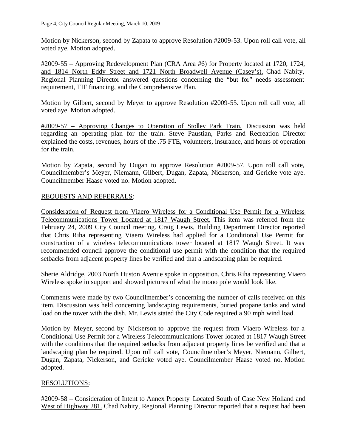Motion by Nickerson, second by Zapata to approve Resolution #2009-53. Upon roll call vote, all voted aye. Motion adopted.

#2009-55 – Approving Redevelopment Plan (CRA Area #6) for Property located at 1720, 1724, and 1814 North Eddy Street and 1721 North Broadwell Avenue (Casey's). Chad Nabity, Regional Planning Director answered questions concerning the "but for" needs assessment requirement, TIF financing, and the Comprehensive Plan.

Motion by Gilbert, second by Meyer to approve Resolution #2009-55. Upon roll call vote, all voted aye. Motion adopted.

#2009-57 – Approving Changes to Operation of Stolley Park Train. Discussion was held regarding an operating plan for the train. Steve Paustian, Parks and Recreation Director explained the costs, revenues, hours of the .75 FTE, volunteers, insurance, and hours of operation for the train.

Motion by Zapata, second by Dugan to approve Resolution #2009-57. Upon roll call vote, Councilmember's Meyer, Niemann, Gilbert, Dugan, Zapata, Nickerson, and Gericke vote aye. Councilmember Haase voted no. Motion adopted.

# REQUESTS AND REFERRALS:

Consideration of Request from Viaero Wireless for a Conditional Use Permit for a Wireless Telecommunications Tower Located at 1817 Waugh Street. This item was referred from the February 24, 2009 City Council meeting. Craig Lewis, Building Department Director reported that Chris Riha representing Viaero Wireless had applied for a Conditional Use Permit for construction of a wireless telecommunications tower located at 1817 Waugh Street. It was recommended council approve the conditional use permit with the condition that the required setbacks from adjacent property lines be verified and that a landscaping plan be required.

Sherie Aldridge, 2003 North Huston Avenue spoke in opposition. Chris Riha representing Viaero Wireless spoke in support and showed pictures of what the mono pole would look like.

Comments were made by two Councilmember's concerning the number of calls received on this item. Discussion was held concerning landscaping requirements, buried propane tanks and wind load on the tower with the dish. Mr. Lewis stated the City Code required a 90 mph wind load.

Motion by Meyer, second by Nickerson to approve the request from Viaero Wireless for a Conditional Use Permit for a Wireless Telecommunications Tower located at 1817 Waugh Street with the conditions that the required setbacks from adjacent property lines be verified and that a landscaping plan be required. Upon roll call vote, Councilmember's Meyer, Niemann, Gilbert, Dugan, Zapata, Nickerson, and Gericke voted aye. Councilmember Haase voted no. Motion adopted.

# RESOLUTIONS:

#2009-58 – Consideration of Intent to Annex Property Located South of Case New Holland and West of Highway 281. Chad Nabity, Regional Planning Director reported that a request had been